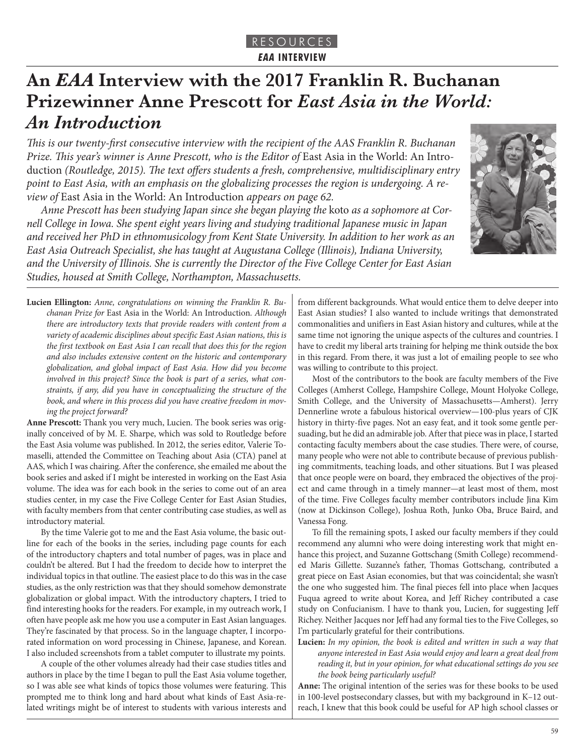# **An** *EAA* **Interview with the 2017 Franklin R. Buchanan Prizewinner Anne Prescott for** *East Asia in the World: An Introduction*

*This is our twenty-first consecutive interview with the recipient of the AAS Franklin R. Buchanan*  Prize. This year's winner is Anne Prescott, who is the Editor of East Asia in the World: An Introduction *(Routledge, 2015). The text offers students a fresh, comprehensive, multidisciplinary entry point to East Asia, with an emphasis on the globalizing processes the region is undergoing. A review of* East Asia in the World: An Introduction *appears on page 62.*

*Anne Prescott has been studying Japan since she began playing the* koto *as a sophomore at Cornell College in Iowa. She spent eight years living and studying traditional Japanese music in Japan and received her PhD in ethnomusicology from Kent State University. In addition to her work as an East Asia Outreach Specialist, she has taught at Augustana College (Illinois), Indiana University, and the University of Illinois. She is currently the Director of the Five College Center for East Asian Studies, housed at Smith College, Northampton, Massachusetts.*



**Lucien Ellington:** *Anne, congratulations on winning the Franklin R. Buchanan Prize for* East Asia in the World: An Introduction*. Although there are introductory texts that provide readers with content from a*  variety of academic disciplines about specific East Asian nations, this is *the first textbook on East Asia I can recall that does this for the region and also includes extensive content on the historic and contemporary globalization, and global impact of East Asia. How did you become involved in this project? Since the book is part of a series, what constraints, if any, did you have in conceptualizing the structure of the book, and where in this process did you have creative freedom in moving the project forward?*

**Anne Prescott:** Thank you very much, Lucien. The book series was originally conceived of by M. E. Sharpe, which was sold to Routledge before the East Asia volume was published. In 2012, the series editor, Valerie Tomaselli, attended the Committee on Teaching about Asia (CTA) panel at AAS, which I was chairing. After the conference, she emailed me about the book series and asked if I might be interested in working on the East Asia volume. The idea was for each book in the series to come out of an area studies center, in my case the Five College Center for East Asian Studies, with faculty members from that center contributing case studies, as well as introductory material.

By the time Valerie got to me and the East Asia volume, the basic outline for each of the books in the series, including page counts for each of the introductory chapters and total number of pages, was in place and couldn't be altered. But I had the freedom to decide how to interpret the individual topics in that outline. The easiest place to do this was in the case studies, as the only restriction was that they should somehow demonstrate globalization or global impact. With the introductory chapters, I tried to find interesting hooks for the readers. For example, in my outreach work, I often have people ask me how you use a computer in East Asian languages. They're fascinated by that process. So in the language chapter, I incorporated information on word processing in Chinese, Japanese, and Korean. I also included screenshots from a tablet computer to illustrate my points.

A couple of the other volumes already had their case studies titles and authors in place by the time I began to pull the East Asia volume together, so I was able see what kinds of topics those volumes were featuring. This prompted me to think long and hard about what kinds of East Asia-related writings might be of interest to students with various interests and from different backgrounds. What would entice them to delve deeper into East Asian studies? I also wanted to include writings that demonstrated commonalities and unifiers in East Asian history and cultures, while at the same time not ignoring the unique aspects of the cultures and countries. I have to credit my liberal arts training for helping me think outside the box in this regard. From there, it was just a lot of emailing people to see who was willing to contribute to this project.

Most of the contributors to the book are faculty members of the Five Colleges (Amherst College, Hampshire College, Mount Holyoke College, Smith College, and the University of Massachusetts—Amherst). Jerry Dennerline wrote a fabulous historical overview—100-plus years of CJK history in thirty-five pages. Not an easy feat, and it took some gentle persuading, but he did an admirable job. After that piece was in place, I started contacting faculty members about the case studies. There were, of course, many people who were not able to contribute because of previous publishing commitments, teaching loads, and other situations. But I was pleased that once people were on board, they embraced the objectives of the project and came through in a timely manner—at least most of them, most of the time. Five Colleges faculty member contributors include Jina Kim (now at Dickinson College), Joshua Roth, Junko Oba, Bruce Baird, and Vanessa Fong.

To fill the remaining spots, I asked our faculty members if they could recommend any alumni who were doing interesting work that might enhance this project, and Suzanne Gottschang (Smith College) recommended Maris Gillette. Suzanne's father, Thomas Gottschang, contributed a great piece on East Asian economies, but that was coincidental; she wasn't the one who suggested him. The final pieces fell into place when Jacques Fuqua agreed to write about Korea, and Jeff Richey contributed a case study on Confucianism. I have to thank you, Lucien, for suggesting Jeff Richey. Neither Jacques nor Jeff had any formal ties to the Five Colleges, so I'm particularly grateful for their contributions.

**Lucien:** *In my opinion, the book is edited and written in such a way that anyone interested in East Asia would enjoy and learn a great deal from reading it, but in your opinion, for what educational settings do you see the book being particularly useful?*

**Anne:** The original intention of the series was for these books to be used in 100-level postsecondary classes, but with my background in K–12 outreach, I knew that this book could be useful for AP high school classes or